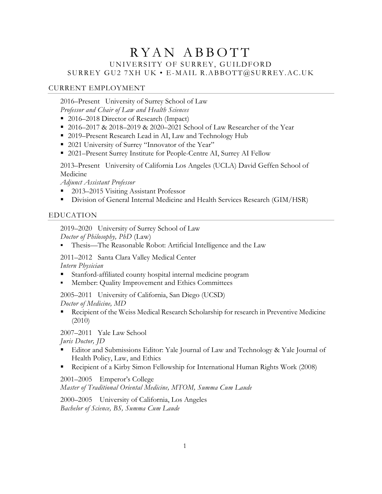# RYAN ABBOTT UNIVERSITY OF SURREY, GUILDFORD SURREY GU2 7XH UK • E-MAIL R.ABBOTT@SURREY.AC.UK

# CURRENT EMPLOYMENT

2016–Present University of Surrey School of Law *Professor and Chair of Law and Health Sciences*

- 2016–2018 Director of Research (Impact)
- 2016–2017 & 2018–2019 & 2020–2021 School of Law Researcher of the Year
- 2019–Present Research Lead in AI, Law and Technology Hub
- 2021 University of Surrey "Innovator of the Year"
- 2021–Present Surrey Institute for People-Centre AI, Surrey AI Fellow

2013–Present University of California Los Angeles (UCLA) David Geffen School of Medicine

*Adjunct Assistant Professor* 

- 2013–2015 Visiting Assistant Professor
- § Division of General Internal Medicine and Health Services Research (GIM/HSR)

# EDUCATION

2019–2020 University of Surrey School of Law *Doctor of Philosophy, PhD* (Law)

§ Thesis—The Reasonable Robot: Artificial Intelligence and the Law

2011–2012 Santa Clara Valley Medical Center *Intern Physician*

- § Stanford-affiliated county hospital internal medicine program
- § Member: Quality Improvement and Ethics Committees

2005–2011 University of California, San Diego (UCSD) *Doctor of Medicine, MD*

§ Recipient of the Weiss Medical Research Scholarship for research in Preventive Medicine (2010)

2007–2011 Yale Law School

*Juris Doctor, JD*

- Editor and Submissions Editor: Yale Journal of Law and Technology & Yale Journal of Health Policy, Law, and Ethics
- § Recipient of a Kirby Simon Fellowship for International Human Rights Work (2008)

# 2001–2005 Emperor's College

*Master of Traditional Oriental Medicine, MTOM, Summa Cum Laude*

2000–2005 University of California, Los Angeles *Bachelor of Science, BS, Summa Cum Laude*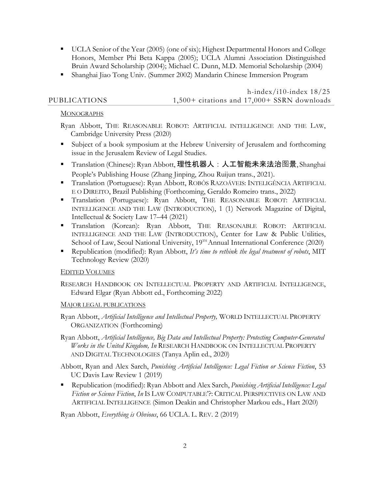- UCLA Senior of the Year (2005) (one of six); Highest Departmental Honors and College Honors, Member Phi Beta Kappa (2005); UCLA Alumni Association Distinguished Bruin Award Scholarship (2004); Michael C. Dunn, M.D. Memorial Scholarship (2004)
- § Shanghai Jiao Tong Univ. (Summer 2002) Mandarin Chinese Immersion Program

h-index/i10-index  $18/25$ PUBLICATIONS 1,500+ citations and 17,000+ SSRN downloads

# **MONOGRAPHS**

Ryan Abbott, THE REASONABLE ROBOT: ARTIFICIAL INTELLIGENCE AND THE LAW, Cambridge University Press (2020)

- § Subject of a book symposium at the Hebrew University of Jerusalem and forthcoming issue in the Jerusalem Review of Legal Studies.
- Translation (Chinese): Ryan Abbott, 理性机器人: 人工智能未来法治图景, Shanghai People's Publishing House (Zhang Jinping, Zhou Ruijun trans., 2021).
- § Translation (Portuguese): Ryan Abbott, ROBÔS RAZOÁVEIS: INTELIGÊNCIA ARTIFICIAL E O DIREITO, Brazil Publishing (Forthcoming, Geraldo Romeiro trans., 2022)
- § Translation (Portuguese): Ryan Abbott, THE REASONABLE ROBOT: ARTIFICIAL INTELLIGENCE AND THE LAW (INTRODUCTION), 1 (1) Network Magazine of Digital, Intellectual & Society Law 17–44 (2021)
- § Translation (Korean): Ryan Abbott, THE REASONABLE ROBOT: ARTIFICIAL INTELLIGENCE AND THE LAW (INTRODUCTION), Center for Law & Public Utilities, School of Law, Seoul National University, 19<sup>TH</sup> Annual International Conference (2020)
- § Republication (modified): Ryan Abbott, *It's time to rethink the legal treatment of robots*, MIT Technology Review (2020)

# EDITED VOLUMES

RESEARCH HANDBOOK ON INTELLECTUAL PROPERTY AND ARTIFICIAL INTELLIGENCE, Edward Elgar (Ryan Abbott ed., Forthcoming 2022)

# MAJOR LEGAL PUBLICATIONS

Ryan Abbott, *Artificial Intelligence and Intellectual Property,* WORLD INTELLECTUAL PROPERTY ORGANIZATION (Forthcoming)

Ryan Abbott, *Artificial Intelligence, Big Data and Intellectual Property: Protecting Computer-Generated Works in the United Kingdom, In* RESEARCH HANDBOOK ON INTELLECTUAL PROPERTY AND DIGITAL TECHNOLOGIES (Tanya Aplin ed., 2020)

Abbott, Ryan and Alex Sarch, *Punishing Artificial Intelligence: Legal Fiction or Science Fiction*, 53 UC Davis Law Review 1 (2019)

§ Republication (modified): Ryan Abbott and Alex Sarch, *Punishing Artificial Intelligence: Legal Fiction or Science Fiction*, *In* IS LAW COMPUTABLE'?: CRITICAL PERSPECTIVES ON LAW AND ARTIFICIAL INTELLIGENCE (Simon Deakin and Christopher Markou eds., Hart 2020)

Ryan Abbott, *Everything is Obvious*, 66 UCLA. L. REV. 2 (2019)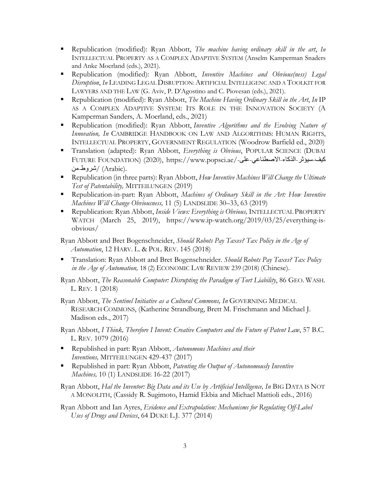- § Republication (modified): Ryan Abbott, *The machine having ordinary skill in the art*, *In* INTELLECTUAL PROPERTY AS A COMPLEX ADAPTIVE SYSTEM (Anselm Kamperman Snaders and Anke Moerland (eds.), 2021).
- § Republication (modified): Ryan Abbott, *Inventive Machines and Obvious(ness) Legal Disruption*, *In* LEADING LEGAL DISRUPTION: ARTIFICIAL INTELLIGENC AND A TOOLKIT FOR LAWYERS AND THE LAW (G. Aviv, P. D'Agostino and C. Piovesan (eds.), 2021).
- § Republication (modified): Ryan Abbott, *The Machine Having Ordinary Skill in the Art*, *In* IP AS A COMPLEX ADAPTIVE SYSTEM: ITS ROLE IN THE INNOVATION SOCIETY (A Kamperman Sanders, A. Moerland, eds., 2021)
- § Republication (modified): Ryan Abbott, *Inventive Algorithms and the Evolving Nature of Innovation, In* CAMBRIDGE HANDBOOK ON LAW AND ALGORITHMS: HUMAN RIGHTS, INTELLECTUAL PROPERTY, GOVERNMENT REGULATION (Woodrow Barfield ed., 2020)
- § Translation (adapted): Ryan Abbott, *Everything is Obvious*, POPULAR SCIENCE (DUBAI FUTURE FOUNDATION) (2020), https://www.popsci.ae/- ىلع - يعانطصلاا - ءاكذلا - رثؤیس - فیك .(Arabic) /شروطـمن/
- § Republication (in three parts): Ryan Abbott, *How Inventive Machines Will Change the Ultimate Test of Patentability,* MITTEILUNGEN (2019)
- § Republication-in-part: Ryan Abbott, *Machines of Ordinary Skill in the Art: How Inventive Machines Will Change Obviousness,* 11 (5) LANDSLIDE 30–33, 63 (2019)
- § Republication: Ryan Abbott, *Inside Views: Everything is Obvious,* INTELLECTUAL PROPERTY WATCH (March 25, 2019), https://www.ip-watch.org/2019/03/25/everything-isobvious/

Ryan Abbott and Bret Bogenschneider, *Should Robots Pay Taxes? Tax Policy in the Age of Automation*, 12 HARV. L. & POL. REV. 145 (2018)

§ Translation: Ryan Abbott and Bret Bogenschneider. *Should Robots Pay Taxes? Tax Policy in the Age of Automation,* 18 (2) ECONOMIC LAW REVIEW 239 (2018) (Chinese).

Ryan Abbott, *The Reasonable Computer: Disrupting the Paradigm of Tort Liability*, 86 GEO. WASH. L. REV. 1 (2018)

Ryan Abbott, *The Sentinel Initiative as a Cultural Commons, In* GOVERNING MEDICAL RESEARCH COMMONS, (Katherine Strandburg, Brett M. Frischmann and Michael J. Madison eds., 2017)

Ryan Abbott, *I Think, Therefore I Invent: Creative Computers and the Future of Patent Law*, 57 B.C. L. REV. 1079 (2016)

- § Republished in part: Ryan Abbott, *Autonomous Machines and their Inventions,* MITTEILUNGEN 429-437 (2017)
- § Republished in part: Ryan Abbott, *Patenting the Output of Autonomously Inventive Machines,* 10 (1) LANDSLIDE 16-22 (2017)

Ryan Abbott, *Hal the Inventor: Big Data and its Use by Artificial Intelligence, In* BIG DATA IS NOT A MONOLITH, (Cassidy R. Sugimoto, Hamid Ekbia and Michael Mattioli eds., 2016)

Ryan Abbott and Ian Ayres, *Evidence and Extrapolation: Mechanisms for Regulating Off-Label Uses of Drugs and Devices*, 64 DUKE L.J. 377 (2014)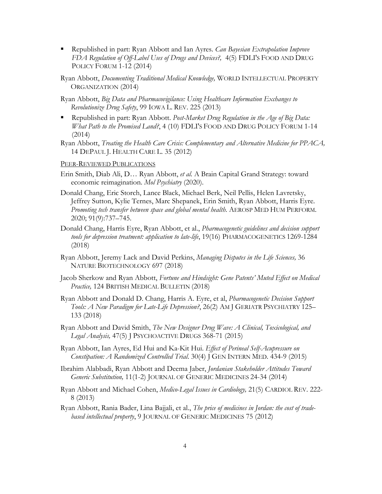§ Republished in part: Ryan Abbott and Ian Ayres. *Can Bayesian Extrapolation Improve FDA Regulation of Off-Label Uses of Drugs and Devices?,* 4(5) FDLI'S FOOD AND DRUG POLICY FORUM 1-12 (2014)

Ryan Abbott, *Documenting Traditional Medical Knowledge,* WORLD INTELLECTUAL PROPERTY ORGANIZATION (2014)

Ryan Abbott, *Big Data and Pharmacovigilance: Using Healthcare Information Exchanges to Revolutionize Drug Safety*, 99 IOWA L. REV. 225 (2013)

- § Republished in part: Ryan Abbott. *Post-Market Drug Regulation in the Age of Big Data: What Path to the Promised Land?*, 4 (10) FDLI'S FOOD AND DRUG POLICY FORUM 1-14 (2014)
- Ryan Abbott, *Treating the Health Care Crisis: Complementary and Alternative Medicine for PPACA,* 14 DEPAUL J. HEALTH CARE L. 35 (2012)

#### PEER-REVIEWED PUBLICATIONS

- Erin Smith, Diab Ali, D… Ryan Abbott, *et al.* A Brain Capital Grand Strategy: toward economic reimagination. *Mol Psychiatry* (2020).
- Donald Chang, Eric Storch, Lance Black, Michael Berk, Neil Pellis, Helen Lavretsky, Jeffrey Sutton, Kylie Ternes, Marc Shepanek, Erin Smith, Ryan Abbott, Harris Eyre. *Promoting tech transfer between space and global mental health*. AEROSP MED HUM PERFORM. 2020; 91(9):737–745.
- Donald Chang, Harris Eyre, Ryan Abbott, et al., *Pharmacogenetic guidelines and decision support tools for depression treatment: application to late-life*, 19(16) PHARMACOGENETICS 1269-1284 (2018)
- Ryan Abbott, Jeremy Lack and David Perkins, *Managing Disputes in the Life Sciences,* 36 NATURE BIOTECHNOLOGY 697 (2018)
- Jacob Sherkow and Ryan Abbott, *Fortune and Hindsight: Gene Patents' Muted Effect on Medical Practice,* 124 BRITISH MEDICAL BULLETIN (2018)
- Ryan Abbott and Donald D. Chang, Harris A. Eyre, et al, *Pharmacogenetic Decision Support Tools: A New Paradigm for Late-Life Depression?*, 26(2) AM J GERIATR PSYCHIATRY 125– 133 (2018)
- Ryan Abbott and David Smith, *The New Designer Drug Wave: A Clinical, Toxicological, and Legal Analysis,* 47(5) J PSYCHOACTIVE DRUGS 368-71 (2015)
- Ryan Abbott, Ian Ayres, Ed Hui and Ka-Kit Hui. *Effect of Perineal Self-Acupressure on Constipation: A Randomized Controlled Trial*. 30(4) J GEN INTERN MED. 434-9 (2015)
- Ibrahim Alabbadi, Ryan Abbott and Deema Jaber, *Jordanian Stakeholder Attitudes Toward Generic Substitution,* 11(1-2) JOURNAL OF GENERIC MEDICINES 24-34 (2014)
- Ryan Abbott and Michael Cohen, *Medico-Legal Issues in Cardiology,* 21(5) CARDIOL REV. 222- 8 (2013)
- Ryan Abbott, Rania Bader, Lina Bajjali, et al., *The price of medicines in Jordan: the cost of tradebased intellectual property*, 9 JOURNAL OF GENERIC MEDICINES 75 (2012)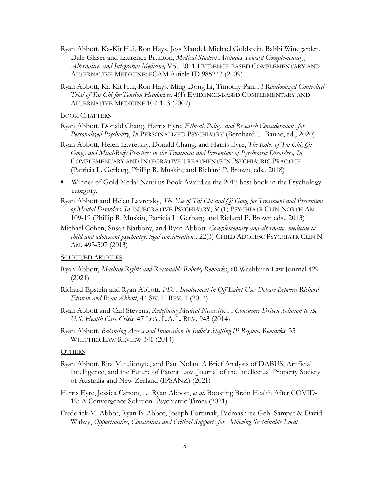- Ryan Abbott, Ka-Kit Hui, Ron Hays, Jess Mandel, Michael Goldstein, Babbi Winegarden, Dale Glaser and Laurence Brunton, *Medical Student Attitudes Toward Complementary, Alternative, and Integrative Medicine,* Vol. 2011 EVIDENCE-BASED COMPLEMENTARY AND ALTERNATIVE MEDICINE: ECAM Article ID 985243 (2009)
- Ryan Abbott, Ka-Kit Hui, Ron Hays, Ming-Dong Li, Timothy Pan, *A Randomized Controlled Trial of Tai Chi for Tension Headaches,* 4(1) EVIDENCE-BASED COMPLEMENTARY AND ALTERNATIVE MEDICINE 107-113 (2007)

**BOOK CHAPTERS** 

- Ryan Abbott, Donald Chang, Harris Eyre, *Ethical, Policy, and Research Considerations for Personalized Psychiatry*, *In* PERSONALIZED PSYCHIATRY (Bernhard T. Baune, ed., 2020)
- Ryan Abbott, Helen Lavretsky, Donald Chang, and Harris Eyre, *The Roles of Tai Chi, Qi Gong, and Mind-Body Practices in the Treatment and Prevention of Psychiatric Disorders, In* COMPLEMENTARY AND INTEGRATIVE TREATMENTS IN PSYCHIATRIC PRACTICE (Patricia L. Gerbarg, Phillip R. Muskin, and Richard P. Brown, eds., 2018)
- § Winner of Gold Medal Nautilus Book Award as the 2017 best book in the Psychology category.
- Ryan Abbott and Helen Lavretsky, *The Use of Tai Chi and Qi Gong for Treatment and Prevention of Mental Disorders, In* INTEGRATIVE PSYCHIATRY, 36(1) PSYCHIATR CLIN NORTH AM 109-19 (Phillip R. Muskin, Patricia L. Gerbarg, and Richard P. Brown eds., 2013)
- Michael Cohen, Susan Natbony, and Ryan Abbott. *Complementary and alternative medicine in child and adolescent psychiatry: legal considerations,* 22(3) CHILD ADOLESC PSYCHIATR CLIN N AM. 493-507 (2013)

#### SOLICITED ARTICLES

- Ryan Abbott, *Machine Rights and Reasonable Robots, Remarks*, 60 Washburn Law Journal 429 (2021)
- Richard Epstein and Ryan Abbott, *FDA Involvement in Off-Label Use: Debate Between Richard Epstein and Ryan Abbott*, 44 SW. L. REV. 1 (2014)
- Ryan Abbott and Carl Stevens, *Redefining Medical Necessity: A Consumer-Driven Solution to the U.S. Health Care Crisis,* 47 LOY. L.A. L. REV. 943 (2014)
- Ryan Abbott, *Balancing Access and Innovation in India's Shifting IP Regime, Remarks,* 35 WHITTIER LAW REVIEW 341 (2014)

#### **OTHERS**

- Ryan Abbott, Rita Matulionyte, and Paul Nolan. A Brief Analysis of DABUS, Artificial Intelligence, and the Future of Patent Law. Journal of the Intellectual Property Society of Australia and New Zealand (IPSANZ) (2021)
- Harris Eyre, Jessica Carson, … Ryan Abbott, *et al.* Boosting Brain Health After COVID-19: A Convergence Solution. Psychiatric Times (2021)
- Frederick M. Abbot, Ryan B. Abbot, Joseph Fortunak, Padmashree Gehl Sampat & David Walwy, *Opportunities, Constraints and Critical Supports for Achieving Sustainable Local*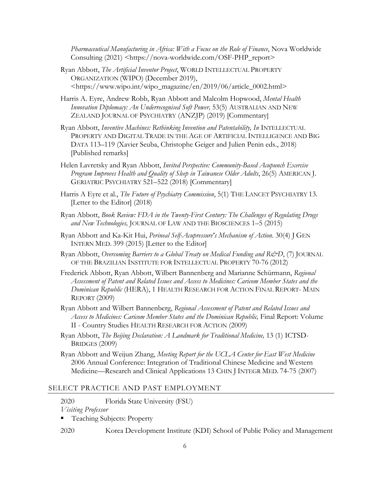*Pharmaceutical Manufacturing in Africa: With a Focus on the Role of Finance*, Nova Worldwide Consulting (2021) <https://nova-worldwide.com/OSF-PHP\_report>

- Ryan Abbott, *The Artificial Inventor Project*, WORLD INTELLECTUAL PROPERTY ORGANIZATION (WIPO) (December 2019), <https://www.wipo.int/wipo\_magazine/en/2019/06/article\_0002.html>
- Harris A. Eyre, Andrew Robb, Ryan Abbott and Malcolm Hopwood, *Mental Health Innovation Diplomacy: An Underrecognised Soft Power,* 53(5) AUSTRALIAN AND NEW ZEALAND JOURNAL OF PSYCHIATRY (ANZJP) (2019) [Commentary]
- Ryan Abbott, *Inventive Machines: Rethinking Invention and Patentability, In* INTELLECTUAL PROPERTY AND DIGITAL TRADE IN THE AGE OF ARTIFICIAL INTELLIGENCE AND BIG DATA 113–119 (Xavier Seuba, Christophe Geiger and Julien Penin eds., 2018) [Published remarks]
- Helen Lavretsky and Ryan Abbott, *Invited Perspective: Community-Based Acupunch Exercise Program Improves Health and Quality of Sleep in Taiwanese Older Adults*, 26(5) AMERICAN J. GERIATRIC PSYCHIATRY 521–522 (2018) [Commentary]
- Harris A Eyre et al., *The Future of Psychiatry Commission*, 5(1) THE LANCET PSYCHIATRY 13. [Letter to the Editor] (2018)
- Ryan Abbott, *Book Review: FDA in the Twenty-First Century: The Challenges of Regulating Drugs and New Technologies,* JOURNAL OF LAW AND THE BIOSCIENCES 1–5 (2015)
- Ryan Abbott and Ka-Kit Hui, *Perineal Self-Acupressure's Mechanism of Action*. 30(4) J GEN INTERN MED. 399 (2015) [Letter to the Editor]
- Ryan Abbott, *Overcoming Barriers to a Global Treaty on Medical Funding and R&D*, (7) JOURNAL OF THE BRAZILIAN INSTITUTE FOR INTELLECTUAL PROPERTY 70-76 (2012)
- Frederick Abbott, Ryan Abbott, Wilbert Bannenberg and Marianne Schürmann, *Regional Assessment of Patent and Related Issues and Access to Medicines: Caricom Member States and the Dominican Republic* (HERA), 1 HEALTH RESEARCH FOR ACTION FINAL REPORT- MAIN REPORT (2009)
- Ryan Abbott and Wilbert Bannenberg, *Regional Assessment of Patent and Related Issues and Access to Medicines: Caricom Member States and the Dominican Republic,* Final Report: Volume II - Country Studies HEALTH RESEARCH FOR ACTION (2009)
- Ryan Abbott, *The Beijing Declaration: A Landmark for Traditional Medicine*, 13 (1) ICTSD-BRIDGES (2009)

Ryan Abbott and Weijun Zhang, *Meeting Report for the UCLA Center for East West Medicine* 2006 Annual Conference: Integration of Traditional Chinese Medicine and Western Medicine—Research and Clinical Applications 13 CHIN J INTEGR MED. 74-75 (2007)

#### SELECT PRACTICE AND PAST EMPLOYMENT

- 2020 Florida State University (FSU)
- *Visiting Professor*
- Teaching Subjects: Property
- 2020 Korea Development Institute (KDI) School of Public Policy and Management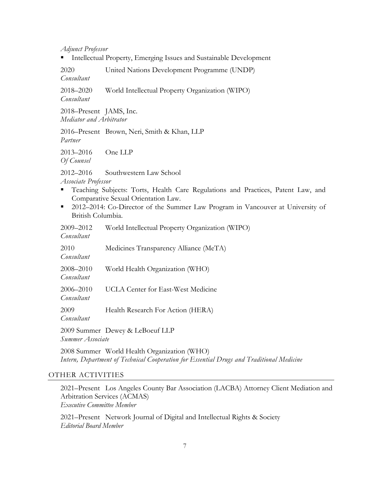*Adjunct Professor*

■ Intellectual Property, Emerging Issues and Sustainable Development

2020 United Nations Development Programme (UNDP) *Consultant*

2018–2020 World Intellectual Property Organization (WIPO) *Consultant*

2018–Present JAMS, Inc. *Mediator and Arbitrator*

2016–Present Brown, Neri, Smith & Khan, LLP *Partner*

2013–2016 One LLP *Of Counsel*

2012–2016 Southwestern Law School *Associate Professor*

- § Teaching Subjects: Torts, Health Care Regulations and Practices, Patent Law, and Comparative Sexual Orientation Law.
- 2012–2014: Co-Director of the Summer Law Program in Vancouver at University of British Columbia.

| 2009–2012<br>Consultant     | World Intellectual Property Organization (WIPO) |
|-----------------------------|-------------------------------------------------|
| 2010<br>Consultant          | Medicines Transparency Alliance (MeTA)          |
| 2008–2010<br>Consultant     | World Health Organization (WHO)                 |
| $2006 - 2010$<br>Consultant | UCLA Center for East-West Medicine              |
| 2009<br>Consultant          | Health Research For Action (HERA)               |
| Summer Associate            | 2009 Summer Dewey & LeBoeuf LLP                 |
|                             | 2008 Summer World Health Organization (WHO)     |

*Intern, Department of Technical Cooperation for Essential Drugs and Traditional Medicine*

#### OTHER ACTIVITIES

2021–Present Los Angeles County Bar Association (LACBA) Attorney Client Mediation and Arbitration Services (ACMAS) *Executive Committee Member*

2021–Present Network Journal of Digital and Intellectual Rights & Society *Editorial Board Member*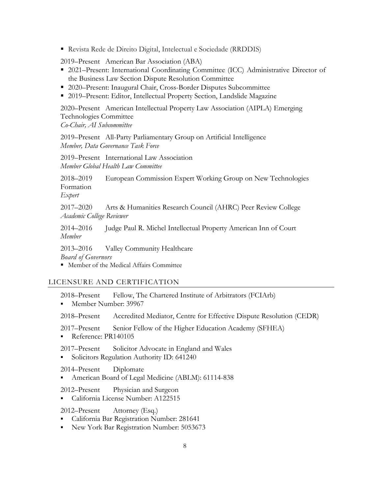§ Revista Rede de Direito Digital, Intelectual e Sociedade (RRDDIS)

2019–Present American Bar Association (ABA)

- 2021–Present: International Coordinating Committee (ICC) Administrative Director of the Business Law Section Dispute Resolution Committee
- 2020–Present: Inaugural Chair, Cross-Border Disputes Subcommittee
- 2019–Present: Editor, Intellectual Property Section, Landslide Magazine

2020–Present American Intellectual Property Law Association (AIPLA) Emerging Technologies Committee *Co-Chair, AI Subcommittee*

2019–Present All-Party Parliamentary Group on Artificial Intelligence *Member, Data Governance Task Force*

2019–Present International Law Association *Member Global Health Law Committee*

2018–2019 European Commission Expert Working Group on New Technologies Formation *Expert*

2017–2020 Arts & Humanities Research Council (AHRC) Peer Review College *Academic College Reviewer*

2014–2016 Judge Paul R. Michel Intellectual Property American Inn of Court *Member* 

2013–2016 Valley Community Healthcare *Board of Governors*

■ Member of the Medical Affairs Committee

# LICENSURE AND CERTIFICATION

- 2018–Present Fellow, The Chartered Institute of Arbitrators (FCIArb)
- § Member Number: 39967
- 2018–Present Accredited Mediator, Centre for Effective Dispute Resolution (CEDR)
- 2017–Present Senior Fellow of the Higher Education Academy (SFHEA)
- Reference: PR140105
- 2017–Present Solicitor Advocate in England and Wales
- § Solicitors Regulation Authority ID: 641240

# 2014–Present Diplomate

- § American Board of Legal Medicine (ABLM): 61114-838
- 2012–Present Physician and Surgeon
- § California License Number: A122515
- 2012–Present Attorney (Esq.)
- California Bar Registration Number: 281641
- § New York Bar Registration Number: 5053673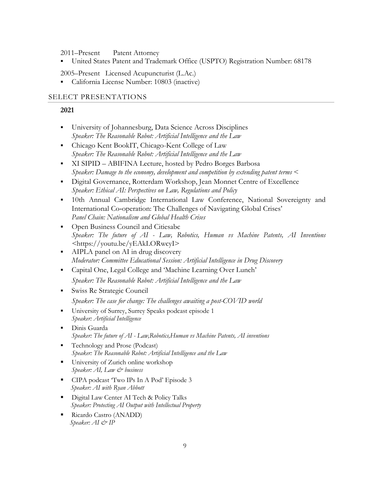2011–Present Patent Attorney

§ United States Patent and Trademark Office (USPTO) Registration Number: 68178

2005–Present Licensed Acupuncturist (L.Ac.)

§ California License Number: 10803 (inactive)

#### SELECT PRESENTATIONS

#### **2021**

- University of Johannesburg, Data Science Across Disciplines *Speaker: The Reasonable Robot: Artificial Intelligence and the Law*
- § Chicago Kent BookIT, Chicago-Kent College of Law *Speaker: The Reasonable Robot: Artificial Intelligence and the Law*
- § XI SIPID ABIFINA Lecture, hosted by Pedro Borges Barbosa *Speaker: Damage to the economy, development and competition by extending patent terms* <
- § Digital Governance, Rotterdam Workshop, Jean Monnet Centre of Excellence *Speaker: Ethical AI: Perspectives on Law, Regulations and Policy*
- § 10th Annual Cambridge International Law Conference, National Sovereignty and International Co‑operation: The Challenges of Navigating Global Crises' *Panel Chain: Nationalism and Global Health Crises*
- § Open Business Council and Citiesabc *Speaker: The future of AI - Law, Robotics, Human vs Machine Patents, AI Inventions <*https://youtu.be/yEAkLORwcyI>
- AIPLA panel on AI in drug discovery *Moderator: Committee Educational Session: Artificial Intelligence in Drug Discovery*
- § Capital One, Legal College and 'Machine Learning Over Lunch' *Speaker: The Reasonable Robot: Artificial Intelligence and the Law*
- § Swiss Re Strategic Council *Speaker: The case for change: The challenges awaiting a post-COVID world*
- University of Surrey, Surrey Speaks podcast episode 1 *Speaker: Artificial Intelligence*
- § Dinis Guarda *Speaker: The future of AI - Law,Robotics,Human vs Machine Patents, AI inventions*
- § Technology and Prose (Podcast) *Speaker: The Reasonable Robot: Artificial Intelligence and the Law*
- University of Zurich online workshop *Speaker: AI, Law & business*
- § CIPA podcast 'Two IPs In A Pod' Episode 3  *Speaker: AI with Ryan Abbott*
- **•** Digital Law Center AI Tech & Policy Talks  *Speaker: Protecting AI Output with Intellectual Property*
- § Ricardo Castro (ANADD) *Speaker: AI & IP*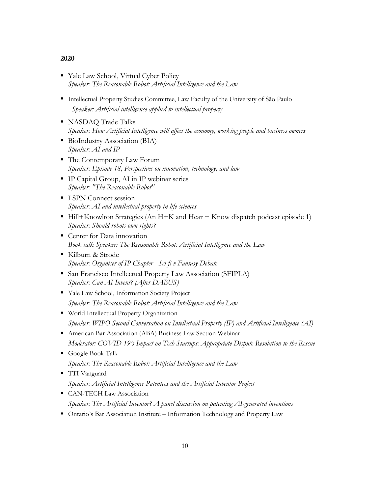# **2020**

- Yale Law School, Virtual Cyber Policy *Speaker: The Reasonable Robot: Artificial Intelligence and the Law*
- Intellectual Property Studies Committee, Law Faculty of the University of São Paulo *Speaker: Artificial intelligence applied to intellectual property*
- § NASDAQ Trade Talks *Speaker: How Artificial Intelligence will affect the economy, working people and business owners*
- BioIndustry Association (BIA) *Speaker: AI and IP*
- The Contemporary Law Forum *Speaker: Episode 18, Perspectives on innovation, technology, and law*
- IP Capital Group, AI in IP webinar series *Speaker: "The Reasonable Robot"*
- LSPN Connect session *Speaker: AI and intellectual property in life sciences*
- Hill+Knowlton Strategies (An H+K and Hear + Know dispatch podcast episode 1) *Speaker: Should robots own rights?*
- Center for Data innovation *Book talk Speaker: The Reasonable Robot: Artificial Intelligence and the Law*
- § Kilburn & Strode *Speaker: Organiser of IP Chapter - Sci-fi v Fantasy Debate*
- § San Francisco Intellectual Property Law Association (SFIPLA) *Speaker: Can AI Invent? (After DABUS)*
- § Yale Law School, Information Society Project *Speaker: The Reasonable Robot: Artificial Intelligence and the Law*
- § World Intellectual Property Organization *Speaker: WIPO Second Conversation on Intellectual Property (IP) and Artificial Intelligence (AI)*
- American Bar Association (ABA) Business Law Section Webinar *Moderator: COVID-19's Impact on Tech Startups: Appropriate Dispute Resolution to the Rescue*
- § Google Book Talk *Speaker: The Reasonable Robot: Artificial Intelligence and the Law*
- § TTI Vanguard *Speaker: Artificial Intelligence Patentees and the Artificial Inventor Project*
- § CAN-TECH Law Association *Speaker: The Artificial Inventor? A panel discussion on patenting AI-generated inventions*
- Ontario's Bar Association Institute Information Technology and Property Law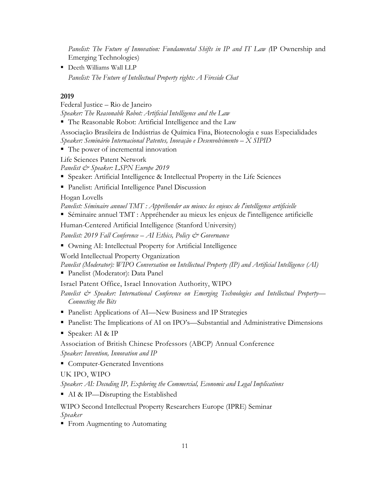*Panelist: The Future of Innovation: Fundamental Shifts in IP and IT Law (*IP Ownership and Emerging Technologies)

§ Deeth Williams Wall LLP *Panelist: The Future of Intellectual Property rights: A Fireside Chat*

# **2019**

Federal Justice – Rio de Janeiro

*Speaker: The Reasonable Robot: Artificial Intelligence and the Law*

■ The Reasonable Robot: Artificial Intelligence and the Law

Associação Brasileira de Indústrias de Química Fina, Biotecnologia e suas Especialidades *Speaker: Seminário Internacional Patentes, Inovação e Desenvolvimento – X SIPID*

■ The power of incremental innovation

Life Sciences Patent Network

*Panelist & Speaker: LSPN Europe 2019*

- Speaker: Artificial Intelligence & Intellectual Property in the Life Sciences
- Panelist: Artificial Intelligence Panel Discussion

Hogan Lovells

*Panelist: Séminaire annuel TMT : Appréhender au mieux les enjeux de l'intelligence artificielle*

■ Séminaire annuel TMT : Appréhender au mieux les enjeux de l'intelligence artificielle

Human-Centered Artificial Intelligence (Stanford University)

*Panelist: 2019 Fall Conference – AI Ethics, Policy & Governance*

■ Owning AI: Intellectual Property for Artificial Intelligence

World Intellectual Property Organization

*Panelist (Moderator): WIPO Conversation on Intellectual Property (IP) and Artificial Intelligence (AI)*

■ Panelist (Moderator): Data Panel

Israel Patent Office, Israel Innovation Authority, WIPO

*Panelist & Speaker: International Conference on Emerging Technologies and Intellectual Property— Connecting the Bits*

- Panelist: Applications of AI—New Business and IP Strategies
- Panelist: The Implications of AI on IPO's—Substantial and Administrative Dimensions
- Speaker: AI & IP

Association of British Chinese Professors (ABCP) Annual Conference *Speaker: Invention, Innovation and IP*

■ Computer-Generated Inventions

UK IPO, WIPO

*Speaker: AI: Decoding IP, Exploring the Commercial, Economic and Legal Implications*

■ AI & IP—Disrupting the Established

WIPO Second Intellectual Property Researchers Europe (IPRE) Seminar *Speaker*

■ From Augmenting to Automating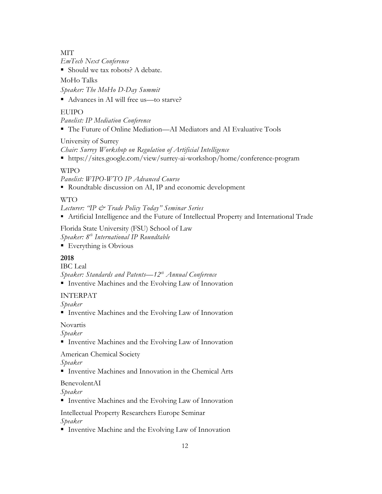**MIT** 

*EmTech Next Conference*

■ Should we tax robots? A debate.

MoHo Talks

*Speaker: The MoHo D-Day Summit*

■ Advances in AI will free us—to starve?

# **EUIPO**

*Panelist: IP Mediation Conference*

■ The Future of Online Mediation—AI Mediators and AI Evaluative Tools

University of Surrey

*Chair: Surrey Workshop on Regulation of Artificial Intelligence*

■ https://sites.google.com/view/surrey-ai-workshop/home/conference-program

# WIPO

*Panelist: WIPO-WTO IP Advanced Course*

■ Roundtable discussion on AI, IP and economic development

# WTO

*Lecturer: "IP & Trade Policy Today" Seminar Series*

§ Artificial Intelligence and the Future of Intellectual Property and International Trade

Florida State University (FSU) School of Law *Speaker: 8th International IP Roundtable* 

■ Everything is Obvious

# **2018**

IBC Leal

*Speaker: Standards and Patents—12th Annual Conference*

■ Inventive Machines and the Evolving Law of Innovation

# INTERPAT

*Speaker*

■ Inventive Machines and the Evolving Law of Innovation

# Novartis

*Speaker*

■ Inventive Machines and the Evolving Law of Innovation

American Chemical Society

# *Speaker*

■ Inventive Machines and Innovation in the Chemical Arts

BenevolentAI

*Speaker*

■ Inventive Machines and the Evolving Law of Innovation

Intellectual Property Researchers Europe Seminar *Speaker*

■ Inventive Machine and the Evolving Law of Innovation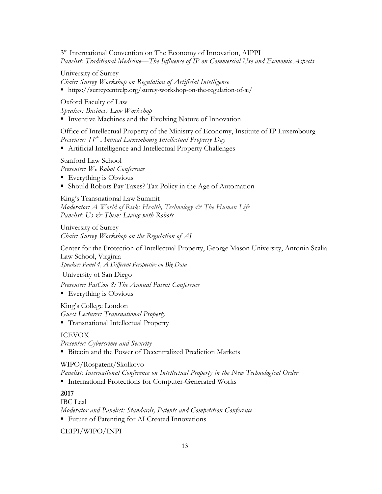$3<sup>rd</sup>$  International Convention on The Economy of Innovation, AIPPI *Panelist: Traditional Medicine—The Influence of IP on Commercial Use and Economic Aspects*

University of Surrey

*Chair: Surrey Workshop on Regulation of Artificial Intelligence*

§ https://surreycentrelp.org/surrey-workshop-on-the-regulation-of-ai/

Oxford Faculty of Law

*Speaker: Business Law Workshop* 

■ Inventive Machines and the Evolving Nature of Innovation

Office of Intellectual Property of the Ministry of Economy, Institute of IP Luxembourg *Presenter: 11th Annual Luxembourg Intellectual Property Day* 

■ Artificial Intelligence and Intellectual Property Challenges

Stanford Law School

*Presenter: We Robot Conference*

- Everything is Obvious
- Should Robots Pay Taxes? Tax Policy in the Age of Automation

#### King's Transnational Law Summit

*Moderator: A World of Risk: Health, Technology & The Human Life Panelist: Us & Them: Living with Robots*

University of Surrey *Chair: Surrey Workshop on the Regulation of AI*

Center for the Protection of Intellectual Property, George Mason University, Antonin Scalia Law School, Virginia

*Speaker: Panel 4, A Different Perspective on Big Data*

University of San Diego

*Presenter: PatCon 8: The Annual Patent Conference*

■ Everything is Obvious

King's College London *Guest Lecturer: Transnational Property* § Transnational Intellectual Property

# ICEVOX

*Presenter: Cybercrime and Security*  ■ Bitcoin and the Power of Decentralized Prediction Markets

# WIPO/Rospatent/Skolkovo

*Panelist: International Conference on Intellectual Property in the New Technological Order* 

■ International Protections for Computer-Generated Works

# **2017**

IBC Leal *Moderator and Panelist: Standards, Patents and Competition Conference*

■ Future of Patenting for AI Created Innovations

CEIPI/WIPO/INPI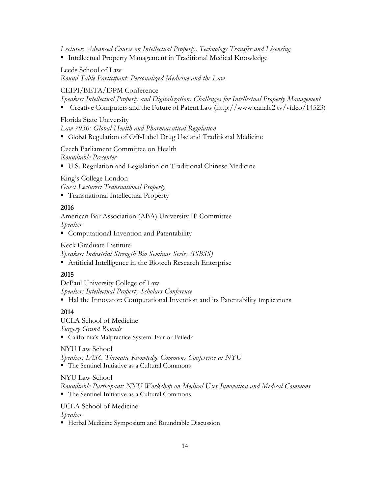*Lecturer: Advanced Course on Intellectual Property, Technology Transfer and Licensing*

■ Intellectual Property Management in Traditional Medical Knowledge

# Leeds School of Law

*Round Table Participant: Personalized Medicine and the Law*

# CEIPI/BETA/I3PM Conference

*Speaker: Intellectual Property and Digitalization: Challenges for Intellectual Property Management*

■ Creative Computers and the Future of Patent Law (http://www.canalc2.tv/video/14523)

# Florida State University

*Law 7930: Global Health and Pharmaceutical Regulation*

§ Global Regulation of Off-Label Drug Use and Traditional Medicine

Czech Parliament Committee on Health *Roundtable Presenter*

■ U.S. Regulation and Legislation on Traditional Chinese Medicine

King's College London

*Guest Lecturer: Transnational Property*

§ Transnational Intellectual Property

# **2016**

American Bar Association (ABA) University IP Committee *Speaker*

■ Computational Invention and Patentability

Keck Graduate Institute

*Speaker: Industrial Strength Bio Seminar Series (ISBSS)*

■ Artificial Intelligence in the Biotech Research Enterprise

# **2015**

DePaul University College of Law *Speaker: Intellectual Property Scholars Conference*

■ Hal the Innovator: Computational Invention and its Patentability Implications

# **2014**

UCLA School of Medicine *Surgery Grand Rounds*

§ California's Malpractice System: Fair or Failed?

NYU Law School

*Speaker: IASC Thematic Knowledge Commons Conference at NYU*

■ The Sentinel Initiative as a Cultural Commons

# NYU Law School

*Roundtable Participant: NYU Workshop on Medical User Innovation and Medical Commons* ■ The Sentinel Initiative as a Cultural Commons

# UCLA School of Medicine

*Speaker*

■ Herbal Medicine Symposium and Roundtable Discussion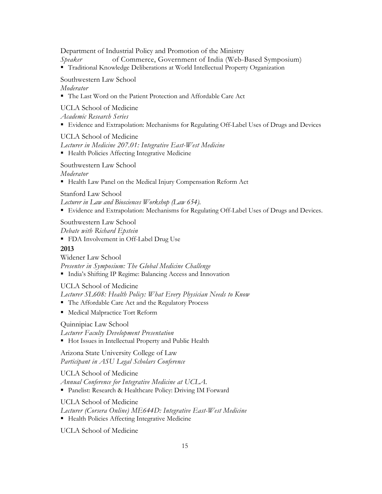Department of Industrial Policy and Promotion of the Ministry

*Speaker* of Commerce, Government of India (Web-Based Symposium)

§ Traditional Knowledge Deliberations at World Intellectual Property Organization

#### Southwestern Law School

#### *Moderator*

■ The Last Word on the Patient Protection and Affordable Care Act

UCLA School of Medicine

*Academic Research Series*

■ Evidence and Extrapolation: Mechanisms for Regulating Off-Label Uses of Drugs and Devices

UCLA School of Medicine

*Lecturer in Medicine 207.01: Integrative East-West Medicine* ■ Health Policies Affecting Integrative Medicine

Southwestern Law School

*Moderator*

§ Health Law Panel on the Medical Injury Compensation Reform Act

Stanford Law School

*Lecturer in Law and Biosciences Workshop (Law 654).*

■ Evidence and Extrapolation: Mechanisms for Regulating Off-Label Uses of Drugs and Devices.

#### Southwestern Law School

*Debate with Richard Epstein*

■ FDA Involvement in Off-Label Drug Use

# **2013**

Widener Law School *Presenter in Symposium: The Global Medicine Challenge*

§ India's Shifting IP Regime: Balancing Access and Innovation

# UCLA School of Medicine

*Lecturer SL608: Health Policy: What Every Physician Needs to Know*

- The Affordable Care Act and the Regulatory Process
- Medical Malpractice Tort Reform

# Quinnipiac Law School

*Lecturer Faculty Development Presentation*

■ Hot Issues in Intellectual Property and Public Health

Arizona State University College of Law *Participant in ASU Legal Scholars Conference*

UCLA School of Medicine *Annual Conference for Integrative Medicine at UCLA.* § Panelist: Research & Healthcare Policy: Driving IM Forward

UCLA School of Medicine

- *Lecturer (Corsera Online) ME644D: Integrative East-West Medicine*
- Health Policies Affecting Integrative Medicine

UCLA School of Medicine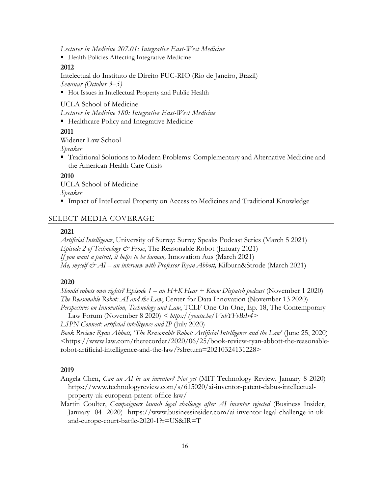*Lecturer in Medicine 207.01: Integrative East-West Medicine*

■ Health Policies Affecting Integrative Medicine

#### **2012**

Intelectual do Instituto de Direito PUC-RIO (Rio de Janeiro, Brazil) *Seminar (October 3–5)*

■ Hot Issues in Intellectual Property and Public Health

UCLA School of Medicine

*Lecturer in Medicine 180: Integrative East-West Medicine*

■ Healthcare Policy and Integrative Medicine

#### **2011**

Widener Law School

*Speaker*

■ Traditional Solutions to Modern Problems: Complementary and Alternative Medicine and the American Health Care Crisis

#### **2010**

UCLA School of Medicine *Speaker*

§ Impact of Intellectual Property on Access to Medicines and Traditional Knowledge

#### SELECT MEDIA COVERAGE

#### **2021**

*Artificial Intelligence*, University of Surrey: Surrey Speaks Podcast Series (March 5 2021) *Episode 2 of Technology & Prose*, The Reasonable Robot (January 2021) *If you want a patent, it helps to be human,* Innovation Aus (March 2021) *Me, myself & AI – an interview with Professor Ryan Abbott,* Kilburn&Strode (March 2021)

#### **2020**

*Should robots own rights? Episode 1 – an H+K Hear + Know Dispatch podcast* (November 1 2020) *The Reasonable Robot: AI and the Law*, Center for Data Innovation (November 13 2020) *Perspectives on Innovation, Technology and Law*, TCLF One-On-One, Ep. 18, The Contemporary

Law Forum (November 8 2020) *< https://youtu.be/VubYFvBiIr4>*

*LSPN Connect: artificial intelligence and IP* (July 2020)

*Book Review: Ryan Abbott, 'The Reasonable Robot: Artificial Intelligence and the Law'* (June 25, 2020) <https://www.law.com/therecorder/2020/06/25/book-review-ryan-abbott-the-reasonablerobot-artificial-intelligence-and-the-law/?slreturn=20210324131228>

#### **2019**

- Angela Chen, *Can an AI be an inventor? Not yet* (MIT Technology Review, January 8 2020) https://www.technologyreview.com/s/615020/ai-inventor-patent-dabus-intellectualproperty-uk-european-patent-office-law/
- Martin Coulter, *Campaigners launch legal challenge after AI inventor rejected* (Business Insider, January 04 2020) https://www.businessinsider.com/ai-inventor-legal-challenge-in-ukand-europe-court-battle-2020-1?r=US&IR=T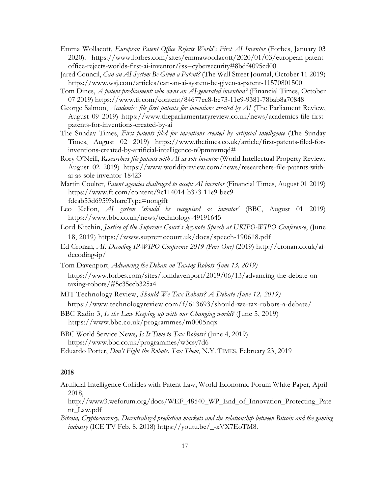- Emma Wollacott, *European Patent Office Rejects World's First AI Inventor* (Forbes, January 03 2020). https://www.forbes.com/sites/emmawoollacott/2020/01/03/european-patentoffice-rejects-worlds-first-ai-inventor/?ss=cybersecurity#8bdf4095cd00
- Jared Council, *Can an AI System Be Given a Patent?* (The Wall Street Journal, October 11 2019) https://www.wsj.com/articles/can-an-ai-system-be-given-a-patent-11570801500
- Tom Dines, *A patent predicament: who owns an AI-generated invention?* (Financial Times, October 07 2019) https://www.ft.com/content/84677ec8-be73-11e9-9381-78bab8a70848
- George Salmon, *Academics file first patents for inventions created by AI* (The Parliament Review, August 09 2019) https://www.theparliamentaryreview.co.uk/news/academics-file-firstpatents-for-inventions-created-by-ai
- The Sunday Times, *First patents filed for inventions created by artificial intelligence* (The Sunday Times, August 02 2019) https://www.thetimes.co.uk/article/first-patents-filed-forinventions-created-by-artificial-intelligence-n0pmnvmqd#
- Rory O'Neill, *Researchers file patents with AI as sole inventor* (World Intellectual Property Review, August 02 2019) https://www.worldipreview.com/news/researchers-file-patents-withai-as-sole-inventor-18423
- Martin Coulter, *Patent agencies challenged to accept AI inventor* (Financial Times, August 01 2019) https://www.ft.com/content/9c114014-b373-11e9-bec9 fdcab53d6959?shareType=nongift
- Leo Kelion, *AI system 'should be recognised as inventor'* (BBC, August 01 2019) https://www.bbc.co.uk/news/technology-49191645
- Lord Kitchin, *Justice of the Supreme Court's keynote Speech at UKIPO-WIPO Conference*, (June 18, 2019) https://www.supremecourt.uk/docs/speech-190618.pdf
- Ed Cronan, *AI: Decoding IP-WIPO Conference 2019 (Part One)* (2019) http://cronan.co.uk/aidecoding-ip/
- Tom Davenport*, Advancing the Debate on Taxing Robots (June 13, 2019)*  https://www.forbes.com/sites/tomdavenport/2019/06/13/advancing-the-debate-ontaxing-robots/#5c35ecb325a4
- MIT Technology Review, *Should We Tax Robots? A Debate (June 12, 2019)*  https://www.technologyreview.com/f/613693/should-we-tax-robots-a-debate/
- BBC Radio 3, *Is the Law Keeping up with our Changing world?* (June 5, 2019) https://www.bbc.co.uk/programmes/m0005nqx
- BBC World Service News*, Is It Time to Tax Robots?* (June 4, 2019) https://www.bbc.co.uk/programmes/w3csy7d6
- Eduardo Porter, *Don't Fight the Robots. Tax Them*, N.Y. TIMES, February 23, 2019

#### **2018**

- Artificial Intelligence Collides with Patent Law, World Economic Forum White Paper, April 2018,
	- http://www3.weforum.org/docs/WEF\_48540\_WP\_End\_of\_Innovation\_Protecting\_Pate nt\_Law.pdf
- *Bitcoin, Cryptocurrency, Decentralized prediction markets and the relationship between Bitcoin and the gaming industry* (ICE TV Feb. 8, 2018) https://youtu.be/\_-xVX7EoTM8.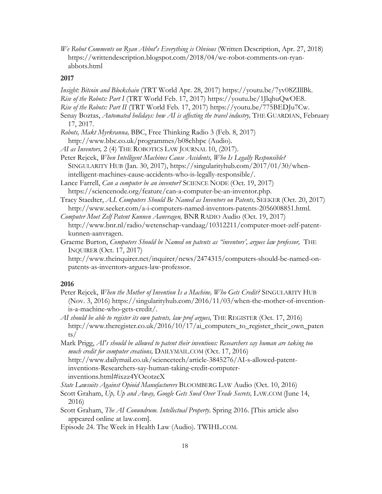*We Robot Comments on Ryan Abbot's Everything is Obvious* (Written Description, Apr. 27, 2018) https://writtendescription.blogspot.com/2018/04/we-robot-comments-on-ryanabbots.html

#### **2017**

*Insight: Bitcoin and Blockchain* (TRT World Apr. 28, 2017) https://youtu.be/7yv08ZIllBk.

- *Rise of the Robots: Part I* (TRT World Feb. 17, 2017) https://youtu.be/1JlqhuQwOE8.
- *Rise of the Robots: Part II* (TRT World Feb. 17, 2017) https://youtu.be/775BEDJu7Cw.
- Senay Boztas, *Automated holidays: how AI is affecting the travel industry*, THE GUARDIAN, February 17, 2017.
- *Robots, Makt Myrkranna,* BBC, Free Thinking Radio 3 (Feb. 8, 2017) http://www.bbc.co.uk/programmes/b08chbpc (Audio).
- *AI as Inventors,* 2 (4) THE ROBOTICS LAW JOURNAL 10, (2017).
- Peter Rejcek, *When Intelligent Machines Cause Accidents, Who Is Legally Responsible?* SINGULARITY HUB (Jan. 30, 2017), https://singularityhub.com/2017/01/30/whenintelligent-machines-cause-accidents-who-is-legally-responsible/.
- Lance Farrell, *Can a computer be an inventor?* SCIENCE NODE (Oct. 19, 2017) https://sciencenode.org/feature/can-a-computer-be-an-inventor.php.
- Tracy Staedter, *A.I. Computers Should Be Named as Inventors on Patents,* SEEKER (Oct. 20, 2017) http://www.seeker.com/a-i-computers-named-inventors-patents-2056008851.html.

*Computer Moet Zelf Patent Kunnen Aanvragen,* BNR RADIO Audio (Oct. 19, 2017) http://www.bnr.nl/radio/wetenschap-vandaag/10312211/computer-moet-zelf-patentkunnen-aanvragen.

Graeme Burton, *Computers Should be Named on patents as "inventors', argues law professor,* THE INQUIRER (Oct. 17, 2017)

http://www.theinquirer.net/inquirer/news/2474315/computers-should-be-named-onpatents-as-inventors-argues-law-professor.

#### **2016**

Peter Rejcek, *When the Mother of Invention Is a Machine, Who Gets Credit?* SINGULARITY HUB (Nov. 3, 2016) https://singularityhub.com/2016/11/03/when-the-mother-of-inventionis-a-machine-who-gets-credit/.

*AI should be able to register its own patents, law prof argues,* THE REGISTER (Oct. 17, 2016) http://www.theregister.co.uk/2016/10/17/ai\_computers\_to\_register\_their\_own\_paten ts/

Mark Prigg, *AI's should be allowed to patent their inventions: Researchers say human are taking too much credit for computer creations,* DAILYMAIL.COM (Oct. 17, 2016) http://www.dailymail.co.uk/sciencetech/article-3845276/AI-s-allowed-patent-

inventions-Researchers-say-human-taking-credit-computerinventions.html#ixzz4YOcotzcX

*State Lawsuits Against Opioid Manufacturers* BLOOMBERG LAW Audio (Oct. 10, 2016)

Scott Graham, *Up, Up and Away, Google Gets Sued Over Trade Secrets,* LAW.COM (June 14, 2016)

Scott Graham, *The AI Conundrum. Intellectual Property*. Spring 2016. [This article also appeared online at law.com].

Episode 24. The Week in Health Law (Audio). TWIHL.COM.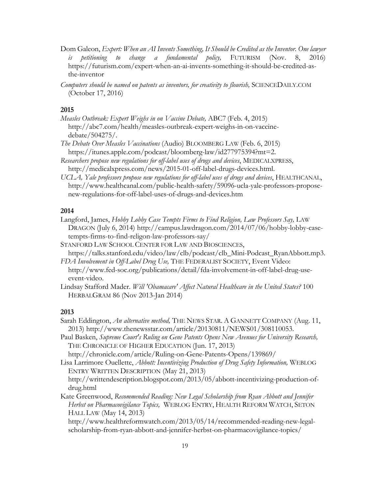- Dom Galeon, *Expert: When an AI Invents Something, It Should be Credited as the Inventor. One lawyer is petitioning to change a fundamental policy,* FUTURISM (Nov. 8, 2016) https://futurism.com/expert-when-an-ai-invents-something-it-should-be-credited-asthe-inventor
- *Computers should be named on patents as inventors, for creativity to flourish,* SCIENCEDAILY.COM (October 17, 2016)

#### **2015**

- *Measles Outbreak: Expert Weighs in on Vaccine Debate,* ABC7 (Feb. 4, 2015) http://abc7.com/health/measles-outbreak-expert-weighs-in-on-vaccinedebate/504275/.
- *The Debate Over Measles Vaccinations* (Audio) BLOOMBERG LAW (Feb. 6, 2015) https://itunes.apple.com/podcast/bloomberg-law/id277975394?mt=2.
- *Researchers propose new regulations for off-label uses of drugs and devices*, MEDICALXPRESS, http://medicalxpress.com/news/2015-01-off-label-drugs-devices.html.
- *UCLA, Yale professors propose new regulations for off-label uses of drugs and devices*, HEALTHCANAL, http://www.healthcanal.com/public-health-safety/59096-ucla-yale-professors-proposenew-regulations-for-off-label-uses-of-drugs-and-devices.htm

#### **2014**

- Langford, James, *Hobby Lobby Case Tempts Firms to Find Religion, Law Professors Say,* LAW DRAGON (July 6, 2014) http://campus.lawdragon.com/2014/07/06/hobby-lobby-casetempts-firms-to-find-religon-law-professors-say/
- STANFORD LAW SCHOOL CENTER FOR LAW AND BIOSCIENCES, https://talks.stanford.edu/video/law/clb/podcast/clb\_Mini-Podcast\_RyanAbbott.mp3.
- *FDA Involvement in Off-Label Drug Use,* THE FEDERALIST SOCIETY, Event Video: http://www.fed-soc.org/publications/detail/fda-involvement-in-off-label-drug-useevent-video.
- Lindsay Stafford Mader. *Will 'Obamacare' Affect Natural Healthcare in the United States?* 100 HERBALGRAM 86 (Nov 2013-Jan 2014)

# **2013**

- Sarah Eddington, *An alternative method,* THE NEWS STAR. A GANNETT COMPANY (Aug. 11, 2013) http://www.thenewsstar.com/article/20130811/NEWS01/308110053.
- Paul Basken, *Supreme Court's Ruling on Gene Patents Opens New Avenues for University Research,* THE CHRONICLE OF HIGHER EDUCATION (Jun. 17, 2013)
	- http://chronicle.com/article/Ruling-on-Gene-Patents-Opens/139869/
- Lisa Larrimore Ouellette, *Abbott: Incentivizing Production of Drug Safety Information,* WEBLOG ENTRY WRITTEN DESCRIPTION (May 21, 2013)

http://writtendescription.blogspot.com/2013/05/abbott-incentivizing-production-ofdrug.html

Kate Greenwood, *Recommended Reading: New Legal Scholarship from Ryan Abbott and Jennifer Herbst on Pharmacovigilance Topics,* WEBLOG ENTRY, HEALTH REFORM WATCH, SETON HALL LAW (May 14, 2013)

http://www.healthreformwatch.com/2013/05/14/recommended-reading-new-legalscholarship-from-ryan-abbott-and-jennifer-herbst-on-pharmacovigilance-topics/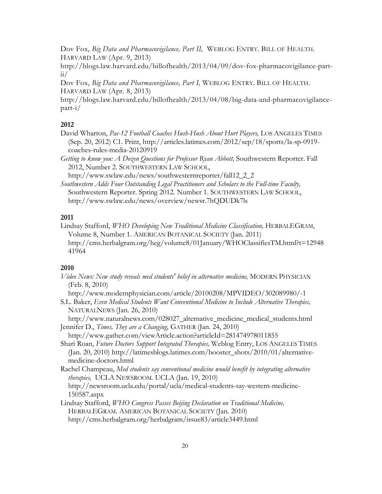Dov Fox, *Big Data and Pharmacovigilance, Part II,* WEBLOG ENTRY. BILL OF HEALTH. HARVARD LAW (Apr. 9, 2013)

http://blogs.law.harvard.edu/billofhealth/2013/04/09/dov-fox-pharmacovigilance-part $ii/$ 

Dov Fox, *Big Data and Pharmacovigilance, Part I,* WEBLOG ENTRY. BILL OF HEALTH. HARVARD LAW (Apr. 8, 2013)

http://blogs.law.harvard.edu/billofhealth/2013/04/08/big-data-and-pharmacovigilancepart-i/

#### **2012**

David Wharton, *Pac-12 Football Coaches Hush-Hush About Hurt Players,* LOS ANGELES TIMES (Sep. 20, 2012) C1. Print, http://articles.latimes.com/2012/sep/18/sports/la-sp-0919 coaches-rules-media-20120919

*Getting to know you: A Dozen Questions for Professor Ryan Abbott,* Southwestern Reporter. Fall 2012, Number 2. SOUTHWESTERN LAW SCHOOL,

http://www.swlaw.edu/news/southwesternreporter/fall12\_2\_2

*Southwestern Adds Four Outstanding Legal Practitioners and Scholars to the Full-time Faculty,* Southwestern Reporter. Spring 2012. Number 1. SOUTHWESTERN LAW SCHOOL, http://www.swlaw.edu/news/overview/newsr.7hQDUDk7ls

#### **2011**

Lindsay Stafford, *WHO Developing New Traditional Medicine Classification,* HERBALEGRAM, Volume 8, Number 1. AMERICAN BOTANICAL SOCIETY (Jan. 2011) http://cms.herbalgram.org/heg/volume8/01January/WHOClassifiesTM.html?t=12948 41964

#### **2010**

*Video News: New study reveals med students' belief in alternative medicine,* MODERN PHYSICIAN (Feb. 8, 2010)

http://www.modernphysician.com/article/20100208/MPVIDEO/302089980/-1

S.L. Baker, *Even Medical Students Want Conventional Medicine to Include Alternative Therapies,*  NATURALNEWS (Jan. 26, 2010)

http://www.naturalnews.com/028027\_alternative\_medicine\_medical\_students.html Jennifer D., *Times, They are a Changing,* GATHER (Jan. 24, 2010)

http://www.gather.com/viewArticle.action?articleId=281474978011855

Shari Roan, *Future Doctors Support Integrated Therapies,* Weblog Entry, LOS ANGELES TIMES (Jan. 20, 2010) http://latimesblogs.latimes.com/booster\_shots/2010/01/alternativemedicine-doctors.html

Rachel Champeau, *Med students say conventional medicine would benefit by integrating alternative therapies,* UCLA NEWSROOM*.* UCLA (Jan. 19, 2010)

http://newsroom.ucla.edu/portal/ucla/medical-students-say-western-medicine-150587.aspx

Lindsay Stafford, *WHO Congress Passes Beijing Declaration on Traditional Medicine,*  HERBALEGRAM. AMERICAN BOTANICAL SOCIETY (Jan. 2010) http://cms.herbalgram.org/herbalgram/issue83/article3449.html